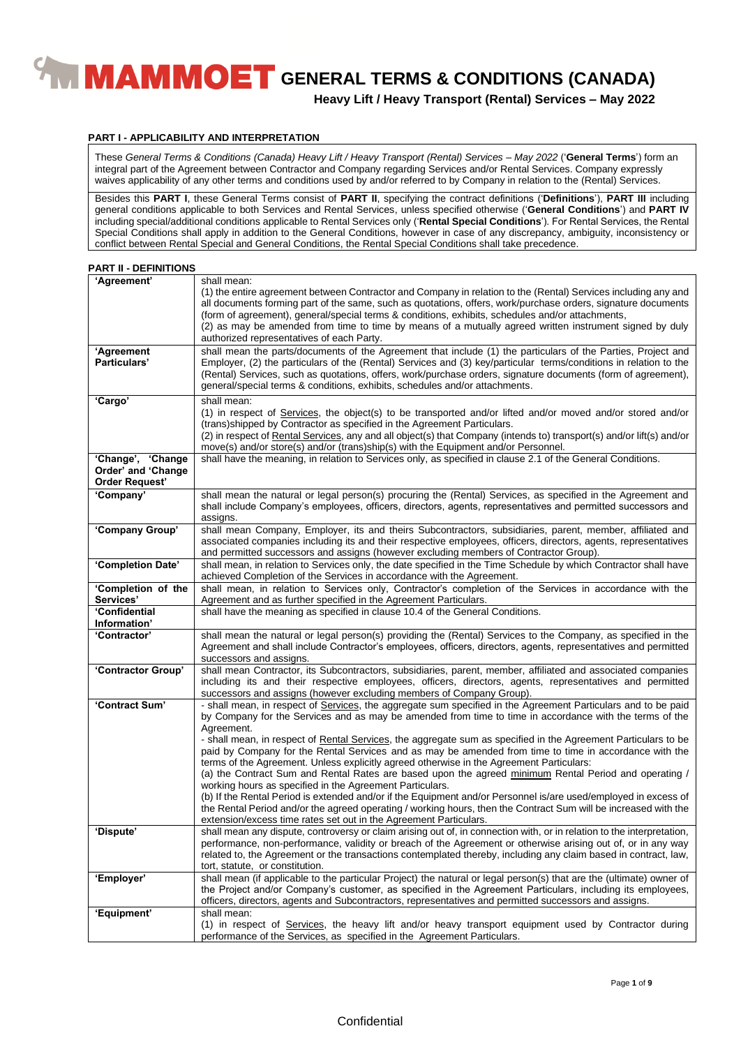**Heavy Lift / Heavy Transport (Rental) Services – May 2022**

#### **PART I - APPLICABILITY AND INTERPRETATION**

These *General Terms & Conditions (Canada) Heavy Lift / Heavy Transport (Rental) Services – May 2022* ('**General Terms**') form an integral part of the Agreement between Contractor and Company regarding Services and/or Rental Services. Company expressly waives applicability of any other terms and conditions used by and/or referred to by Company in relation to the (Rental) Services.

Besides this **PART I**, these General Terms consist of **PART II**, specifying the contract definitions ('**Definitions**'), **PART III** including general conditions applicable to both Services and Rental Services, unless specified otherwise ('**General Conditions**') and **PART IV** including special/additional conditions applicable to Rental Services only ('**Rental Special Conditions**'). For Rental Services, the Rental Special Conditions shall apply in addition to the General Conditions, however in case of any discrepancy, ambiguity, inconsistency or conflict between Rental Special and General Conditions, the Rental Special Conditions shall take precedence.

#### **PART II - DEFINITIONS**

| 'Agreement'                                                      | shall mean:<br>(1) the entire agreement between Contractor and Company in relation to the (Rental) Services including any and<br>all documents forming part of the same, such as quotations, offers, work/purchase orders, signature documents<br>(form of agreement), general/special terms & conditions, exhibits, schedules and/or attachments,<br>(2) as may be amended from time to time by means of a mutually agreed written instrument signed by duly<br>authorized representatives of each Party.                                                     |
|------------------------------------------------------------------|----------------------------------------------------------------------------------------------------------------------------------------------------------------------------------------------------------------------------------------------------------------------------------------------------------------------------------------------------------------------------------------------------------------------------------------------------------------------------------------------------------------------------------------------------------------|
| 'Agreement<br>Particulars'                                       | shall mean the parts/documents of the Agreement that include (1) the particulars of the Parties, Project and<br>Employer, (2) the particulars of the (Rental) Services and (3) key/particular terms/conditions in relation to the<br>(Rental) Services, such as quotations, offers, work/purchase orders, signature documents (form of agreement),<br>general/special terms & conditions, exhibits, schedules and/or attachments.                                                                                                                              |
| 'Cargo'                                                          | shall mean:<br>(1) in respect of Services, the object(s) to be transported and/or lifted and/or moved and/or stored and/or<br>(trans) shipped by Contractor as specified in the Agreement Particulars.<br>(2) in respect of Rental Services, any and all object(s) that Company (intends to) transport(s) and/or lift(s) and/or<br>move(s) and/or store(s) and/or (trans)ship(s) with the Equipment and/or Personnel.                                                                                                                                          |
| 'Change', 'Change<br>Order' and 'Change<br><b>Order Request'</b> | shall have the meaning, in relation to Services only, as specified in clause 2.1 of the General Conditions.                                                                                                                                                                                                                                                                                                                                                                                                                                                    |
| 'Company'                                                        | shall mean the natural or legal person(s) procuring the (Rental) Services, as specified in the Agreement and<br>shall include Company's employees, officers, directors, agents, representatives and permitted successors and<br>assigns.                                                                                                                                                                                                                                                                                                                       |
| 'Company Group'                                                  | shall mean Company, Employer, its and theirs Subcontractors, subsidiaries, parent, member, affiliated and<br>associated companies including its and their respective employees, officers, directors, agents, representatives<br>and permitted successors and assigns (however excluding members of Contractor Group).                                                                                                                                                                                                                                          |
| 'Completion Date'                                                | shall mean, in relation to Services only, the date specified in the Time Schedule by which Contractor shall have<br>achieved Completion of the Services in accordance with the Agreement.                                                                                                                                                                                                                                                                                                                                                                      |
| 'Completion of the<br>Services'                                  | shall mean, in relation to Services only, Contractor's completion of the Services in accordance with the<br>Agreement and as further specified in the Agreement Particulars.                                                                                                                                                                                                                                                                                                                                                                                   |
| 'Confidential<br>Information'                                    | shall have the meaning as specified in clause 10.4 of the General Conditions.                                                                                                                                                                                                                                                                                                                                                                                                                                                                                  |
| 'Contractor'                                                     | shall mean the natural or legal person(s) providing the (Rental) Services to the Company, as specified in the<br>Agreement and shall include Contractor's employees, officers, directors, agents, representatives and permitted<br>successors and assigns.                                                                                                                                                                                                                                                                                                     |
| 'Contractor Group'                                               | shall mean Contractor, its Subcontractors, subsidiaries, parent, member, affiliated and associated companies<br>including its and their respective employees, officers, directors, agents, representatives and permitted<br>successors and assigns (however excluding members of Company Group).                                                                                                                                                                                                                                                               |
| 'Contract Sum'                                                   | - shall mean, in respect of Services, the aggregate sum specified in the Agreement Particulars and to be paid<br>by Company for the Services and as may be amended from time to time in accordance with the terms of the<br>Agreement.<br>- shall mean, in respect of Rental Services, the aggregate sum as specified in the Agreement Particulars to be<br>paid by Company for the Rental Services and as may be amended from time to time in accordance with the<br>terms of the Agreement. Unless explicitly agreed otherwise in the Agreement Particulars: |
|                                                                  | (a) the Contract Sum and Rental Rates are based upon the agreed minimum Rental Period and operating /<br>working hours as specified in the Agreement Particulars.<br>(b) If the Rental Period is extended and/or if the Equipment and/or Personnel is/are used/employed in excess of<br>the Rental Period and/or the agreed operating / working hours, then the Contract Sum will be increased with the<br>extension/excess time rates set out in the Agreement Particulars.                                                                                   |
| 'Dispute'                                                        | shall mean any dispute, controversy or claim arising out of, in connection with, or in relation to the interpretation,<br>performance, non-performance, validity or breach of the Agreement or otherwise arising out of, or in any way<br>related to, the Agreement or the transactions contemplated thereby, including any claim based in contract, law,<br>tort, statute, or constitution.                                                                                                                                                                   |
| 'Employer'                                                       | shall mean (if applicable to the particular Project) the natural or legal person(s) that are the (ultimate) owner of<br>the Project and/or Company's customer, as specified in the Agreement Particulars, including its employees,<br>officers, directors, agents and Subcontractors, representatives and permitted successors and assigns.                                                                                                                                                                                                                    |
| 'Equipment'                                                      | shall mean:<br>(1) in respect of Services, the heavy lift and/or heavy transport equipment used by Contractor during<br>performance of the Services, as specified in the Agreement Particulars.                                                                                                                                                                                                                                                                                                                                                                |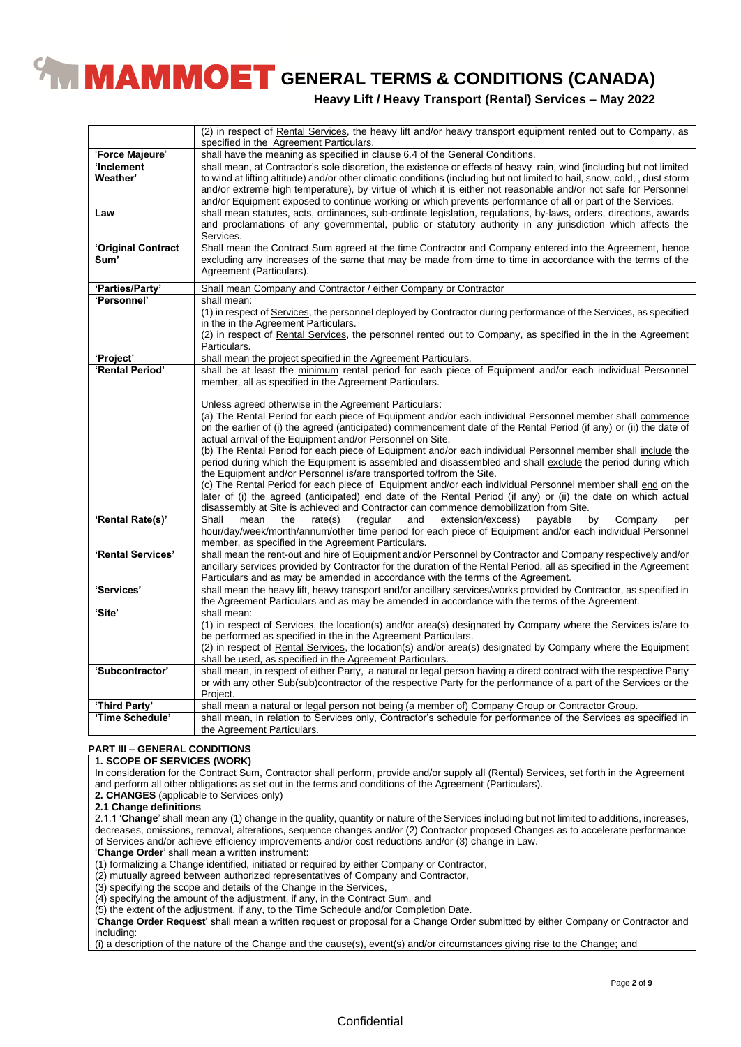**Heavy Lift / Heavy Transport (Rental) Services – May 2022**

|                    | (2) in respect of Rental Services, the heavy lift and/or heavy transport equipment rented out to Company, as<br>specified in the Agreement Particulars.                                                                                      |
|--------------------|----------------------------------------------------------------------------------------------------------------------------------------------------------------------------------------------------------------------------------------------|
| 'Force Majeure'    | shall have the meaning as specified in clause 6.4 of the General Conditions.                                                                                                                                                                 |
| 'Inclement         | shall mean, at Contractor's sole discretion, the existence or effects of heavy rain, wind (including but not limited                                                                                                                         |
| Weather'           | to wind at lifting altitude) and/or other climatic conditions (including but not limited to hail, snow, cold, , dust storm<br>and/or extreme high temperature), by virtue of which it is either not reasonable and/or not safe for Personnel |
|                    | and/or Equipment exposed to continue working or which prevents performance of all or part of the Services.                                                                                                                                   |
| Law                | shall mean statutes, acts, ordinances, sub-ordinate legislation, regulations, by-laws, orders, directions, awards<br>and proclamations of any governmental, public or statutory authority in any jurisdiction which affects the<br>Services. |
| 'Original Contract | Shall mean the Contract Sum agreed at the time Contractor and Company entered into the Agreement, hence                                                                                                                                      |
| Sum'               | excluding any increases of the same that may be made from time to time in accordance with the terms of the                                                                                                                                   |
|                    | Agreement (Particulars).                                                                                                                                                                                                                     |
| 'Parties/Party'    | Shall mean Company and Contractor / either Company or Contractor                                                                                                                                                                             |
| 'Personnel'        | shall mean:                                                                                                                                                                                                                                  |
|                    | (1) in respect of Services, the personnel deployed by Contractor during performance of the Services, as specified                                                                                                                            |
|                    | in the in the Agreement Particulars.                                                                                                                                                                                                         |
|                    | (2) in respect of Rental Services, the personnel rented out to Company, as specified in the in the Agreement                                                                                                                                 |
|                    | Particulars.                                                                                                                                                                                                                                 |
| 'Project'          | shall mean the project specified in the Agreement Particulars.                                                                                                                                                                               |
| 'Rental Period'    | shall be at least the minimum rental period for each piece of Equipment and/or each individual Personnel                                                                                                                                     |
|                    | member, all as specified in the Agreement Particulars.                                                                                                                                                                                       |
|                    |                                                                                                                                                                                                                                              |
|                    | Unless agreed otherwise in the Agreement Particulars:                                                                                                                                                                                        |
|                    | (a) The Rental Period for each piece of Equipment and/or each individual Personnel member shall commence                                                                                                                                     |
|                    | on the earlier of (i) the agreed (anticipated) commencement date of the Rental Period (if any) or (ii) the date of                                                                                                                           |
|                    | actual arrival of the Equipment and/or Personnel on Site.                                                                                                                                                                                    |
|                    | (b) The Rental Period for each piece of Equipment and/or each individual Personnel member shall include the                                                                                                                                  |
|                    | period during which the Equipment is assembled and disassembled and shall exclude the period during which                                                                                                                                    |
|                    | the Equipment and/or Personnel is/are transported to/from the Site.                                                                                                                                                                          |
|                    | (c) The Rental Period for each piece of Equipment and/or each individual Personnel member shall end on the                                                                                                                                   |
|                    | later of (i) the agreed (anticipated) end date of the Rental Period (if any) or (ii) the date on which actual                                                                                                                                |
|                    |                                                                                                                                                                                                                                              |
| 'Rental Rate(s)'   | disassembly at Site is achieved and Contractor can commence demobilization from Site.<br>Shall<br>mean<br>the                                                                                                                                |
|                    | by<br>Company<br>rate(s)<br>(regular<br>extension/excess)<br>payable<br>and<br>per                                                                                                                                                           |
|                    | hour/day/week/month/annum/other time period for each piece of Equipment and/or each individual Personnel                                                                                                                                     |
|                    | member, as specified in the Agreement Particulars.                                                                                                                                                                                           |
| 'Rental Services'  | shall mean the rent-out and hire of Equipment and/or Personnel by Contractor and Company respectively and/or                                                                                                                                 |
|                    | ancillary services provided by Contractor for the duration of the Rental Period, all as specified in the Agreement                                                                                                                           |
|                    | Particulars and as may be amended in accordance with the terms of the Agreement.                                                                                                                                                             |
| 'Services'         | shall mean the heavy lift, heavy transport and/or ancillary services/works provided by Contractor, as specified in                                                                                                                           |
|                    | the Agreement Particulars and as may be amended in accordance with the terms of the Agreement.                                                                                                                                               |
| 'Site'             | shall mean:                                                                                                                                                                                                                                  |
|                    | (1) in respect of Services, the location(s) and/or area(s) designated by Company where the Services is/are to                                                                                                                                |
|                    | be performed as specified in the in the Agreement Particulars.                                                                                                                                                                               |
|                    | (2) in respect of Rental Services, the location(s) and/or area(s) designated by Company where the Equipment                                                                                                                                  |
|                    | shall be used, as specified in the Agreement Particulars.                                                                                                                                                                                    |
| 'Subcontractor'    | shall mean, in respect of either Party, a natural or legal person having a direct contract with the respective Party                                                                                                                         |
|                    | or with any other Sub(sub)contractor of the respective Party for the performance of a part of the Services or the                                                                                                                            |
|                    | Project.                                                                                                                                                                                                                                     |
| 'Third Party'      | shall mean a natural or legal person not being (a member of) Company Group or Contractor Group.                                                                                                                                              |
| 'Time Schedule'    | shall mean, in relation to Services only, Contractor's schedule for performance of the Services as specified in                                                                                                                              |
|                    | the Agreement Particulars.                                                                                                                                                                                                                   |

#### **PART III – GENERAL CONDITIONS**

#### **1. SCOPE OF SERVICES (WORK)**

In consideration for the Contract Sum, Contractor shall perform, provide and/or supply all (Rental) Services, set forth in the Agreement and perform all other obligations as set out in the terms and conditions of the Agreement (Particulars).

**2. CHANGES** (applicable to Services only)

**2.1 Change definitions**

2.1.1 '**Change**' shall mean any (1) change in the quality, quantity or nature of the Services including but not limited to additions, increases, decreases, omissions, removal, alterations, sequence changes and/or (2) Contractor proposed Changes as to accelerate performance of Services and/or achieve efficiency improvements and/or cost reductions and/or (3) change in Law.

'**Change Order**' shall mean a written instrument:

(1) formalizing a Change identified, initiated or required by either Company or Contractor,

(2) mutually agreed between authorized representatives of Company and Contractor,

(3) specifying the scope and details of the Change in the Services,

(4) specifying the amount of the adjustment, if any, in the Contract Sum, and

(5) the extent of the adjustment, if any, to the Time Schedule and/or Completion Date.

'**Change Order Request**' shall mean a written request or proposal for a Change Order submitted by either Company or Contractor and including:

(i) a description of the nature of the Change and the cause(s), event(s) and/or circumstances giving rise to the Change; and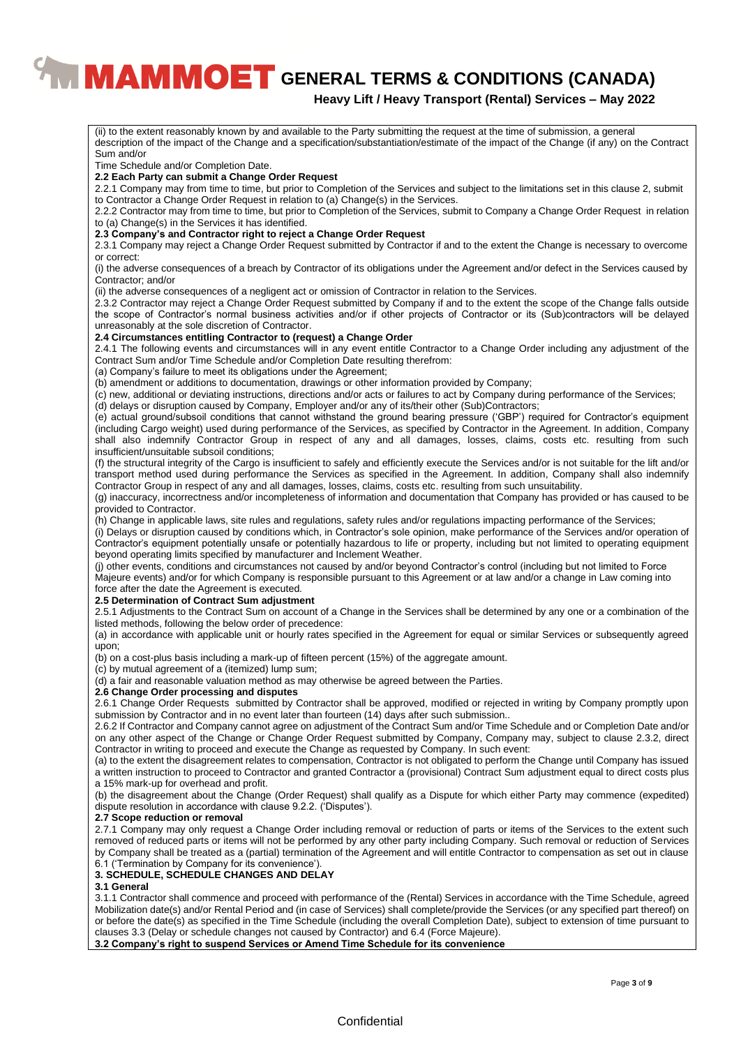### **Heavy Lift / Heavy Transport (Rental) Services – May 2022**

(ii) to the extent reasonably known by and available to the Party submitting the request at the time of submission, a general description of the impact of the Change and a specification/substantiation/estimate of the impact of the Change (if any) on the Contract Sum and/or Time Schedule and/or Completion Date. **2.2 Each Party can submit a Change Order Request** 2.2.1 Company may from time to time, but prior to Completion of the Services and subject to the limitations set in this clause 2, submit to Contractor a Change Order Request in relation to (a) Change(s) in the Services. 2.2.2 Contractor may from time to time, but prior to Completion of the Services, submit to Company a Change Order Request in relation to (a) Change(s) in the Services it has identified. **2.3 Company's and Contractor right to reject a Change Order Request** 2.3.1 Company may reject a Change Order Request submitted by Contractor if and to the extent the Change is necessary to overcome or correct: (i) the adverse consequences of a breach by Contractor of its obligations under the Agreement and/or defect in the Services caused by Contractor; and/or (ii) the adverse consequences of a negligent act or omission of Contractor in relation to the Services. 2.3.2 Contractor may reject a Change Order Request submitted by Company if and to the extent the scope of the Change falls outside the scope of Contractor's normal business activities and/or if other projects of Contractor or its (Sub)contractors will be delayed unreasonably at the sole discretion of Contractor. **2.4 Circumstances entitling Contractor to (request) a Change Order** 2.4.1 The following events and circumstances will in any event entitle Contractor to a Change Order including any adjustment of the Contract Sum and/or Time Schedule and/or Completion Date resulting therefrom: (a) Company's failure to meet its obligations under the Agreement; (b) amendment or additions to documentation, drawings or other information provided by Company; (c) new, additional or deviating instructions, directions and/or acts or failures to act by Company during performance of the Services; (d) delays or disruption caused by Company, Employer and/or any of its/their other (Sub)Contractors; (e) actual ground/subsoil conditions that cannot withstand the ground bearing pressure ('GBP') required for Contractor's equipment (including Cargo weight) used during performance of the Services, as specified by Contractor in the Agreement. In addition, Company shall also indemnify Contractor Group in respect of any and all damages, losses, claims, costs etc. resulting from such insufficient/unsuitable subsoil conditions; (f) the structural integrity of the Cargo is insufficient to safely and efficiently execute the Services and/or is not suitable for the lift and/or transport method used during performance the Services as specified in the Agreement. In addition, Company shall also indemnify Contractor Group in respect of any and all damages, losses, claims, costs etc. resulting from such unsuitability. (g) inaccuracy, incorrectness and/or incompleteness of information and documentation that Company has provided or has caused to be provided to Contractor. (h) Change in applicable laws, site rules and regulations, safety rules and/or regulations impacting performance of the Services; (i) Delays or disruption caused by conditions which, in Contractor's sole opinion, make performance of the Services and/or operation of Contractor's equipment potentially unsafe or potentially hazardous to life or property, including but not limited to operating equipment beyond operating limits specified by manufacturer and Inclement Weather. (j) other events, conditions and circumstances not caused by and/or beyond Contractor's control (including but not limited to Force Majeure events) and/or for which Company is responsible pursuant to this Agreement or at law and/or a change in Law coming into force after the date the Agreement is executed. **2.5 Determination of Contract Sum adjustment** 2.5.1 Adjustments to the Contract Sum on account of a Change in the Services shall be determined by any one or a combination of the listed methods, following the below order of precedence: (a) in accordance with applicable unit or hourly rates specified in the Agreement for equal or similar Services or subsequently agreed upon; (b) on a cost-plus basis including a mark-up of fifteen percent (15%) of the aggregate amount. (c) by mutual agreement of a (itemized) lump sum; (d) a fair and reasonable valuation method as may otherwise be agreed between the Parties. **2.6 Change Order processing and disputes** 2.6.1 Change Order Requests submitted by Contractor shall be approved, modified or rejected in writing by Company promptly upon submission by Contractor and in no event later than fourteen (14) days after such submission.. 2.6.2 If Contractor and Company cannot agree on adjustment of the Contract Sum and/or Time Schedule and or Completion Date and/or on any other aspect of the Change or Change Order Request submitted by Company, Company may, subject to clause 2.3.2, direct Contractor in writing to proceed and execute the Change as requested by Company. In such event: (a) to the extent the disagreement relates to compensation, Contractor is not obligated to perform the Change until Company has issued a written instruction to proceed to Contractor and granted Contractor a (provisional) Contract Sum adjustment equal to direct costs plus a 15% mark-up for overhead and profit. (b) the disagreement about the Change (Order Request) shall qualify as a Dispute for which either Party may commence (expedited) dispute resolution in accordance with clause 9.2.2. ('Disputes'). **2.7 Scope reduction or removal** 2.7.1 Company may only request a Change Order including removal or reduction of parts or items of the Services to the extent such removed of reduced parts or items will not be performed by any other party including Company. Such removal or reduction of Services by Company shall be treated as a (partial) termination of the Agreement and will entitle Contractor to compensation as set out in clause 6.1 ('Termination by Company for its convenience'). **3. SCHEDULE, SCHEDULE CHANGES AND DELAY 3.1 General** 3.1.1 Contractor shall commence and proceed with performance of the (Rental) Services in accordance with the Time Schedule, agreed Mobilization date(s) and/or Rental Period and (in case of Services) shall complete/provide the Services (or any specified part thereof) on or before the date(s) as specified in the Time Schedule (including the overall Completion Date), subject to extension of time pursuant to clauses 3.3 (Delay or schedule changes not caused by Contractor) and 6.4 (Force Majeure). **3.2 Company's right to suspend Services or Amend Time Schedule for its convenience**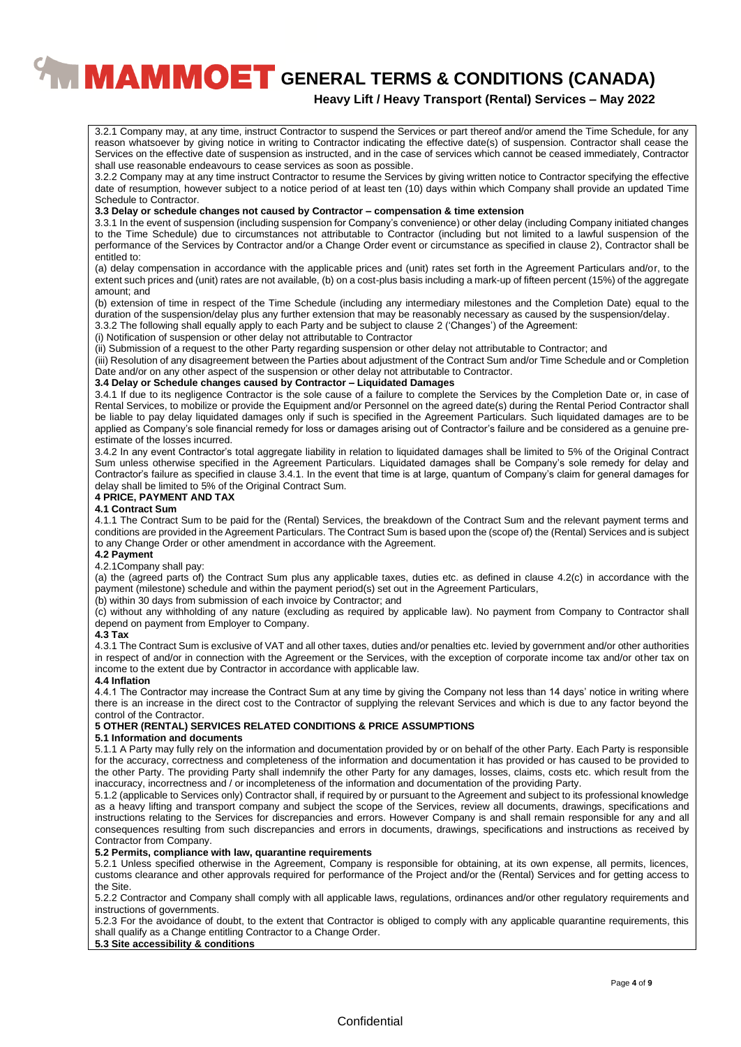## **Heavy Lift / Heavy Transport (Rental) Services – May 2022**

3.2.1 Company may, at any time, instruct Contractor to suspend the Services or part thereof and/or amend the Time Schedule, for any reason whatsoever by giving notice in writing to Contractor indicating the effective date(s) of suspension. Contractor shall cease the Services on the effective date of suspension as instructed, and in the case of services which cannot be ceased immediately, Contractor shall use reasonable endeavours to cease services as soon as possible.

3.2.2 Company may at any time instruct Contractor to resume the Services by giving written notice to Contractor specifying the effective date of resumption, however subject to a notice period of at least ten (10) days within which Company shall provide an updated Time Schedule to Contractor.

#### **3.3 Delay or schedule changes not caused by Contractor – compensation & time extension**

3.3.1 In the event of suspension (including suspension for Company's convenience) or other delay (including Company initiated changes to the Time Schedule) due to circumstances not attributable to Contractor (including but not limited to a lawful suspension of the performance of the Services by Contractor and/or a Change Order event or circumstance as specified in clause 2), Contractor shall be entitled to:

(a) delay compensation in accordance with the applicable prices and (unit) rates set forth in the Agreement Particulars and/or, to the extent such prices and (unit) rates are not available, (b) on a cost-plus basis including a mark-up of fifteen percent (15%) of the aggregate amount; and

(b) extension of time in respect of the Time Schedule (including any intermediary milestones and the Completion Date) equal to the duration of the suspension/delay plus any further extension that may be reasonably necessary as caused by the suspension/delay.

3.3.2 The following shall equally apply to each Party and be subject to clause 2 ('Changes') of the Agreement:

(i) Notification of suspension or other delay not attributable to Contractor

(ii) Submission of a request to the other Party regarding suspension or other delay not attributable to Contractor; and

(iii) Resolution of any disagreement between the Parties about adjustment of the Contract Sum and/or Time Schedule and or Completion Date and/or on any other aspect of the suspension or other delay not attributable to Contractor.

#### **3.4 Delay or Schedule changes caused by Contractor – Liquidated Damages**

3.4.1 If due to its negligence Contractor is the sole cause of a failure to complete the Services by the Completion Date or, in case of Rental Services, to mobilize or provide the Equipment and/or Personnel on the agreed date(s) during the Rental Period Contractor shall be liable to pay delay liquidated damages only if such is specified in the Agreement Particulars. Such liquidated damages are to be applied as Company's sole financial remedy for loss or damages arising out of Contractor's failure and be considered as a genuine preestimate of the losses incurred.

3.4.2 In any event Contractor's total aggregate liability in relation to liquidated damages shall be limited to 5% of the Original Contract Sum unless otherwise specified in the Agreement Particulars. Liquidated damages shall be Company's sole remedy for delay and Contractor's failure as specified in clause 3.4.1. In the event that time is at large, quantum of Company's claim for general damages for delay shall be limited to 5% of the Original Contract Sum.

#### **4 PRICE, PAYMENT AND TAX**

#### **4.1 Contract Sum**

4.1.1 The Contract Sum to be paid for the (Rental) Services, the breakdown of the Contract Sum and the relevant payment terms and conditions are provided in the Agreement Particulars. The Contract Sum is based upon the (scope of) the (Rental) Services and is subject to any Change Order or other amendment in accordance with the Agreement.

#### **4.2 Payment**

#### 4.2.1Company shall pay:

(a) the (agreed parts of) the Contract Sum plus any applicable taxes, duties etc. as defined in clause 4.2(c) in accordance with the payment (milestone) schedule and within the payment period(s) set out in the Agreement Particulars,

(b) within 30 days from submission of each invoice by Contractor; and

(c) without any withholding of any nature (excluding as required by applicable law). No payment from Company to Contractor shall depend on payment from Employer to Company.

#### **4.3 Tax**

4.3.1 The Contract Sum is exclusive of VAT and all other taxes, duties and/or penalties etc. levied by government and/or other authorities in respect of and/or in connection with the Agreement or the Services, with the exception of corporate income tax and/or other tax on income to the extent due by Contractor in accordance with applicable law.

#### **4.4 Inflation**

4.4.1 The Contractor may increase the Contract Sum at any time by giving the Company not less than 14 days' notice in writing where there is an increase in the direct cost to the Contractor of supplying the relevant Services and which is due to any factor beyond the control of the Contractor.

#### **5 OTHER (RENTAL) SERVICES RELATED CONDITIONS & PRICE ASSUMPTIONS**

#### **5.1 Information and documents**

5.1.1 A Party may fully rely on the information and documentation provided by or on behalf of the other Party. Each Party is responsible for the accuracy, correctness and completeness of the information and documentation it has provided or has caused to be provided to the other Party. The providing Party shall indemnify the other Party for any damages, losses, claims, costs etc. which result from the inaccuracy, incorrectness and / or incompleteness of the information and documentation of the providing Party.

5.1.2 (applicable to Services only) Contractor shall, if required by or pursuant to the Agreement and subject to its professional knowledge as a heavy lifting and transport company and subject the scope of the Services, review all documents, drawings, specifications and instructions relating to the Services for discrepancies and errors. However Company is and shall remain responsible for any and all consequences resulting from such discrepancies and errors in documents, drawings, specifications and instructions as received by Contractor from Company.

## **5.2 Permits, compliance with law, quarantine requirements**

5.2.1 Unless specified otherwise in the Agreement, Company is responsible for obtaining, at its own expense, all permits, licences, customs clearance and other approvals required for performance of the Project and/or the (Rental) Services and for getting access to the Site.

5.2.2 Contractor and Company shall comply with all applicable laws, regulations, ordinances and/or other regulatory requirements and instructions of governments.

5.2.3 For the avoidance of doubt, to the extent that Contractor is obliged to comply with any applicable quarantine requirements, this shall qualify as a Change entitling Contractor to a Change Order.

### **5.3 Site accessibility & conditions**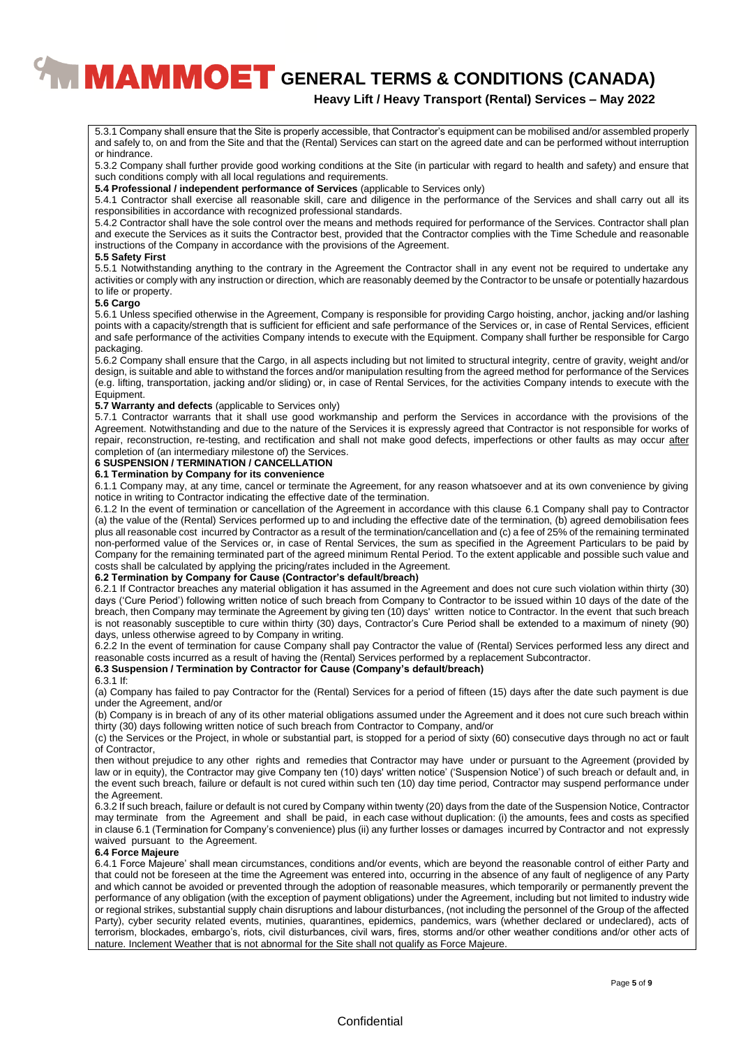## **Heavy Lift / Heavy Transport (Rental) Services – May 2022**

5.3.1 Company shall ensure that the Site is properly accessible, that Contractor's equipment can be mobilised and/or assembled properly and safely to, on and from the Site and that the (Rental) Services can start on the agreed date and can be performed without interruption or hindrance.

5.3.2 Company shall further provide good working conditions at the Site (in particular with regard to health and safety) and ensure that such conditions comply with all local regulations and requirements.

**5.4 Professional / independent performance of Services** (applicable to Services only)

5.4.1 Contractor shall exercise all reasonable skill, care and diligence in the performance of the Services and shall carry out all its responsibilities in accordance with recognized professional standards.

5.4.2 Contractor shall have the sole control over the means and methods required for performance of the Services. Contractor shall plan and execute the Services as it suits the Contractor best, provided that the Contractor complies with the Time Schedule and reasonable instructions of the Company in accordance with the provisions of the Agreement.

#### **5.5 Safety First**

5.5.1 Notwithstanding anything to the contrary in the Agreement the Contractor shall in any event not be required to undertake any activities or comply with any instruction or direction, which are reasonably deemed by the Contractor to be unsafe or potentially hazardous to life or property.

#### **5.6 Cargo**

5.6.1 Unless specified otherwise in the Agreement, Company is responsible for providing Cargo hoisting, anchor, jacking and/or lashing points with a capacity/strength that is sufficient for efficient and safe performance of the Services or, in case of Rental Services, efficient and safe performance of the activities Company intends to execute with the Equipment. Company shall further be responsible for Cargo packaging.

5.6.2 Company shall ensure that the Cargo, in all aspects including but not limited to structural integrity, centre of gravity, weight and/or design, is suitable and able to withstand the forces and/or manipulation resulting from the agreed method for performance of the Services (e.g. lifting, transportation, jacking and/or sliding) or, in case of Rental Services, for the activities Company intends to execute with the Equipment.

#### **5.7 Warranty and defects** (applicable to Services only)

5.7.1 Contractor warrants that it shall use good workmanship and perform the Services in accordance with the provisions of the Agreement. Notwithstanding and due to the nature of the Services it is expressly agreed that Contractor is not responsible for works of repair, reconstruction, re-testing, and rectification and shall not make good defects, imperfections or other faults as may occur after completion of (an intermediary milestone of) the Services.

#### **6 SUSPENSION / TERMINATION / CANCELLATION**

#### **6.1 Termination by Company for its convenience**

6.1.1 Company may, at any time, cancel or terminate the Agreement, for any reason whatsoever and at its own convenience by giving notice in writing to Contractor indicating the effective date of the termination.

6.1.2 In the event of termination or cancellation of the Agreement in accordance with this clause 6.1 Company shall pay to Contractor (a) the value of the (Rental) Services performed up to and including the effective date of the termination, (b) agreed demobilisation fees plus all reasonable cost incurred by Contractor as a result of the termination/cancellation and (c) a fee of 25% of the remaining terminated non-performed value of the Services or, in case of Rental Services, the sum as specified in the Agreement Particulars to be paid by Company for the remaining terminated part of the agreed minimum Rental Period. To the extent applicable and possible such value and costs shall be calculated by applying the pricing/rates included in the Agreement.

#### **6.2 Termination by Company for Cause (Contractor's default/breach)**

6.2.1 If Contractor breaches any material obligation it has assumed in the Agreement and does not cure such violation within thirty (30) days ('Cure Period') following written notice of such breach from Company to Contractor to be issued within 10 days of the date of the breach, then Company may terminate the Agreement by giving ten (10) days' written notice to Contractor. ln the event that such breach is not reasonably susceptible to cure within thirty (30) days, Contractor's Cure Period shall be extended to a maximum of ninety (90) days, unless otherwise agreed to by Company in writing.

6.2.2 In the event of termination for cause Company shall pay Contractor the value of (Rental) Services performed less any direct and reasonable costs incurred as a result of having the (Rental) Services performed by a replacement Subcontractor.

#### **6.3 Suspension / Termination by Contractor for Cause (Company's default/breach)**

#### 6.3.1 If:

(a) Company has failed to pay Contractor for the (Rental) Services for a period of fifteen (15) days after the date such payment is due under the Agreement, and/or

(b) Company is in breach of any of its other material obligations assumed under the Agreement and it does not cure such breach within thirty (30) days following written notice of such breach from Contractor to Company, and/or

(c) the Services or the Project, in whole or substantial part, is stopped for a period of sixty (60) consecutive days through no act or fault of Contractor,

then without prejudice to any other rights and remedies that Contractor may have under or pursuant to the Agreement (provided by law or in equity), the Contractor may give Company ten (10) days' written notice' ('Suspension Notice') of such breach or default and, in the event such breach, failure or default is not cured within such ten (10) day time period, Contractor may suspend performance under the Agreement.

6.3.2 If such breach, failure or default is not cured by Company within twenty (20) days from the date of the Suspension Notice, Contractor may terminate from the Agreement and shall be paid, in each case without duplication: (i) the amounts, fees and costs as specified in clause 6.1 (Termination for Company's convenience) plus (ii) any further losses or damages incurred by Contractor and not expressly waived pursuant to the Agreement.

#### **6.4 Force Majeure**

6.4.1 Force Majeure' shall mean circumstances, conditions and/or events, which are beyond the reasonable control of either Party and that could not be foreseen at the time the Agreement was entered into, occurring in the absence of any fault of negligence of any Party and which cannot be avoided or prevented through the adoption of reasonable measures, which temporarily or permanently prevent the performance of any obligation (with the exception of payment obligations) under the Agreement, including but not limited to industry wide or regional strikes, substantial supply chain disruptions and labour disturbances, (not including the personnel of the Group of the affected Party), cyber security related events, mutinies, quarantines, epidemics, pandemics, wars (whether declared or undeclared), acts of terrorism, blockades, embargo's, riots, civil disturbances, civil wars, fires, storms and/or other weather conditions and/or other acts of nature. Inclement Weather that is not abnormal for the Site shall not qualify as Force Majeure.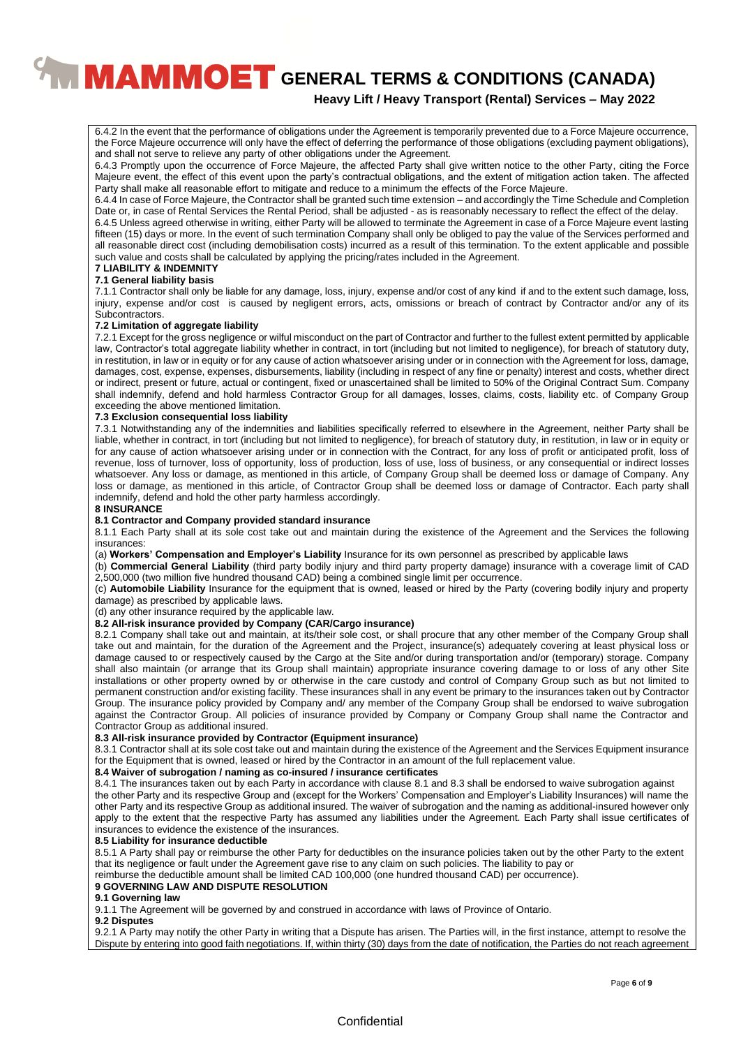## **Heavy Lift / Heavy Transport (Rental) Services – May 2022**

6.4.2 In the event that the performance of obligations under the Agreement is temporarily prevented due to a Force Majeure occurrence, the Force Majeure occurrence will only have the effect of deferring the performance of those obligations (excluding payment obligations), and shall not serve to relieve any party of other obligations under the Agreement.

6.4.3 Promptly upon the occurrence of Force Majeure, the affected Party shall give written notice to the other Party, citing the Force Majeure event, the effect of this event upon the party's contractual obligations, and the extent of mitigation action taken. The affected Party shall make all reasonable effort to mitigate and reduce to a minimum the effects of the Force Majeure.

6.4.4 In case of Force Majeure, the Contractor shall be granted such time extension – and accordingly the Time Schedule and Completion Date or, in case of Rental Services the Rental Period, shall be adjusted - as is reasonably necessary to reflect the effect of the delay.

6.4.5 Unless agreed otherwise in writing, either Party will be allowed to terminate the Agreement in case of a Force Majeure event lasting fifteen (15) days or more. In the event of such termination Company shall only be obliged to pay the value of the Services performed and all reasonable direct cost (including demobilisation costs) incurred as a result of this termination. To the extent applicable and possible such value and costs shall be calculated by applying the pricing/rates included in the Agreement.

#### **7 LIABILITY & INDEMNITY 7.1 General liability basis**

7.1.1 Contractor shall only be liable for any damage, loss, injury, expense and/or cost of any kind if and to the extent such damage, loss, injury, expense and/or cost is caused by negligent errors, acts, omissions or breach of contract by Contractor and/or any of its Subcontractors.

#### **7.2 Limitation of aggregate liability**

7.2.1 Except for the gross negligence or wilful misconduct on the part of Contractor and further to the fullest extent permitted by applicable law, Contractor's total aggregate liability whether in contract, in tort (including but not limited to negligence), for breach of statutory duty, in restitution, in law or in equity or for any cause of action whatsoever arising under or in connection with the Agreement for loss, damage, damages, cost, expense, expenses, disbursements, liability (including in respect of any fine or penalty) interest and costs, whether direct or indirect, present or future, actual or contingent, fixed or unascertained shall be limited to 50% of the Original Contract Sum. Company shall indemnify, defend and hold harmless Contractor Group for all damages, losses, claims, costs, liability etc. of Company Group exceeding the above mentioned limitation.

#### **7.3 Exclusion consequential loss liability**

7.3.1 Notwithstanding any of the indemnities and liabilities specifically referred to elsewhere in the Agreement, neither Party shall be liable, whether in contract, in tort (including but not limited to negligence), for breach of statutory duty, in restitution, in law or in equity or for any cause of action whatsoever arising under or in connection with the Contract, for any loss of profit or anticipated profit, loss of revenue, loss of turnover, loss of opportunity, loss of production, loss of use, loss of business, or any consequential or indirect losses whatsoever. Any loss or damage, as mentioned in this article, of Company Group shall be deemed loss or damage of Company. Any loss or damage, as mentioned in this article, of Contractor Group shall be deemed loss or damage of Contractor. Each party shall indemnify, defend and hold the other party harmless accordingly.

#### **8 INSURANCE**

#### **8.1 Contractor and Company provided standard insurance**

8.1.1 Each Party shall at its sole cost take out and maintain during the existence of the Agreement and the Services the following insurances:

(a) **Workers' Compensation and Employer's Liability** Insurance for its own personnel as prescribed by applicable laws

(b) **Commercial General Liability** (third party bodily injury and third party property damage) insurance with a coverage limit of CAD 2,500,000 (two million five hundred thousand CAD) being a combined single limit per occurrence.

(c) **Automobile Liability** Insurance for the equipment that is owned, leased or hired by the Party (covering bodily injury and property damage) as prescribed by applicable laws.

(d) any other insurance required by the applicable law.

#### **8.2 All-risk insurance provided by Company (CAR/Cargo insurance)**

8.2.1 Company shall take out and maintain, at its/their sole cost, or shall procure that any other member of the Company Group shall take out and maintain, for the duration of the Agreement and the Project, insurance(s) adequately covering at least physical loss or damage caused to or respectively caused by the Cargo at the Site and/or during transportation and/or (temporary) storage. Company shall also maintain (or arrange that its Group shall maintain) appropriate insurance covering damage to or loss of any other Site installations or other property owned by or otherwise in the care custody and control of Company Group such as but not limited to permanent construction and/or existing facility. These insurances shall in any event be primary to the insurances taken out by Contractor Group. The insurance policy provided by Company and/ any member of the Company Group shall be endorsed to waive subrogation against the Contractor Group. All policies of insurance provided by Company or Company Group shall name the Contractor and Contractor Group as additional insured.

## **8.3 All-risk insurance provided by Contractor (Equipment insurance)**

8.3.1 Contractor shall at its sole cost take out and maintain during the existence of the Agreement and the Services Equipment insurance for the Equipment that is owned, leased or hired by the Contractor in an amount of the full replacement value.

#### **8.4 Waiver of subrogation / naming as co-insured / insurance certificates**

8.4.1 The insurances taken out by each Party in accordance with clause 8.1 and 8.3 shall be endorsed to waive subrogation against the other Party and its respective Group and (except for the Workers' Compensation and Employer's Liability Insurances) will name the other Party and its respective Group as additional insured. The waiver of subrogation and the naming as additional-insured however only apply to the extent that the respective Party has assumed any liabilities under the Agreement. Each Party shall issue certificates of insurances to evidence the existence of the insurances.

#### **8.5 Liability for insurance deductible**

8.5.1 A Party shall pay or reimburse the other Party for deductibles on the insurance policies taken out by the other Party to the extent that its negligence or fault under the Agreement gave rise to any claim on such policies. The liability to pay or

reimburse the deductible amount shall be limited CAD 100,000 (one hundred thousand CAD) per occurrence).

#### **9 GOVERNING LAW AND DISPUTE RESOLUTION**

#### **9.1 Governing law**

9.1.1 The Agreement will be governed by and construed in accordance with laws of Province of Ontario.

#### **9.2 Disputes**

9.2.1 A Party may notify the other Party in writing that a Dispute has arisen. The Parties will, in the first instance, attempt to resolve the Dispute by entering into good faith negotiations. If, within thirty (30) days from the date of notification, the Parties do not reach agreement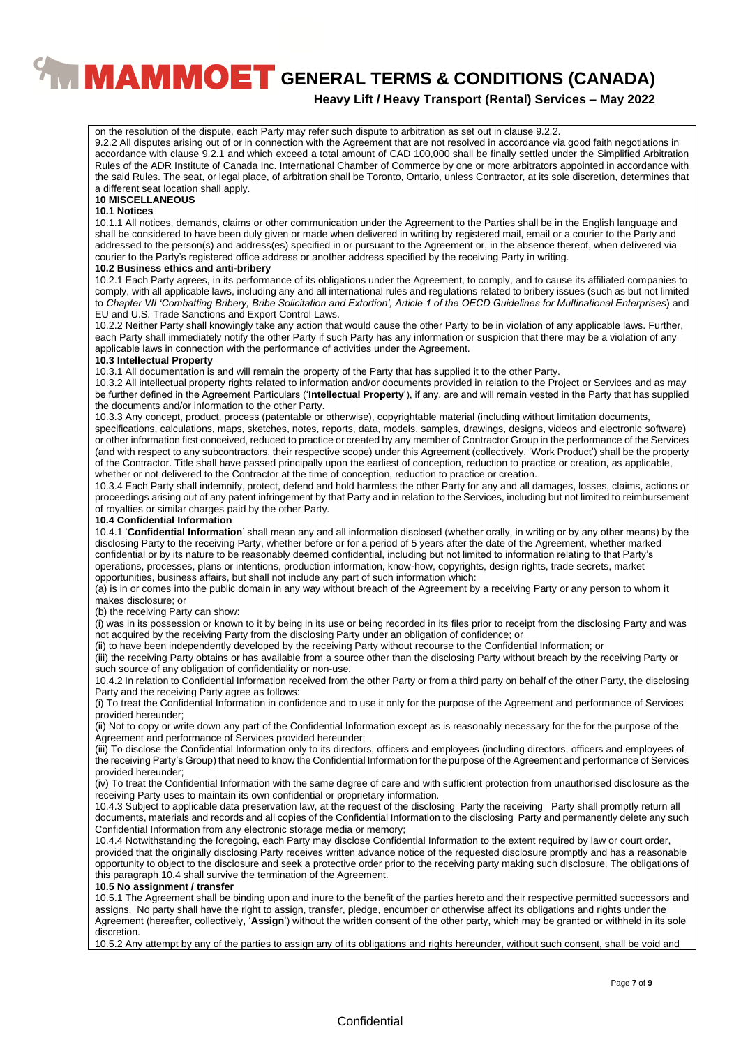**Heavy Lift / Heavy Transport (Rental) Services – May 2022**

on the resolution of the dispute, each Party may refer such dispute to arbitration as set out in clause 9.2.2. 9.2.2 All disputes arising out of or in connection with the Agreement that are not resolved in accordance via good faith negotiations in accordance with clause 9.2.1 and which exceed a total amount of CAD 100,000 shall be finally settled under the Simplified Arbitration Rules of the ADR Institute of Canada Inc. International Chamber of Commerce by one or more arbitrators appointed in accordance with the said Rules. The seat, or legal place, of arbitration shall be Toronto, Ontario, unless Contractor, at its sole discretion, determines that a different seat location shall apply.

## **10 MISCELLANEOUS**

## **10.1 Notices**

10.1.1 All notices, demands, claims or other communication under the Agreement to the Parties shall be in the English language and shall be considered to have been duly given or made when delivered in writing by registered mail, email or a courier to the Party and addressed to the person(s) and address(es) specified in or pursuant to the Agreement or, in the absence thereof, when delivered via courier to the Party's registered office address or another address specified by the receiving Party in writing.

#### **10.2 Business ethics and anti-bribery**

10.2.1 Each Party agrees, in its performance of its obligations under the Agreement, to comply, and to cause its affiliated companies to comply, with all applicable laws, including any and all international rules and regulations related to bribery issues (such as but not limited to *Chapter VII 'Combatting Bribery, Bribe Solicitation and Extortion', Article 1 of the OECD Guidelines for Multinational Enterprises*) and EU and U.S. Trade Sanctions and Export Control Laws.

10.2.2 Neither Party shall knowingly take any action that would cause the other Party to be in violation of any applicable laws. Further, each Party shall immediately notify the other Party if such Party has any information or suspicion that there may be a violation of any applicable laws in connection with the performance of activities under the Agreement.

#### **10.3 Intellectual Property**

10.3.1 All documentation is and will remain the property of the Party that has supplied it to the other Party.

10.3.2 All intellectual property rights related to information and/or documents provided in relation to the Project or Services and as may be further defined in the Agreement Particulars ('**Intellectual Property**'), if any, are and will remain vested in the Party that has supplied the documents and/or information to the other Party.

10.3.3 Any concept, product, process (patentable or otherwise), copyrightable material (including without limitation documents,

specifications, calculations, maps, sketches, notes, reports, data, models, samples, drawings, designs, videos and electronic software) or other information first conceived, reduced to practice or created by any member of Contractor Group in the performance of the Services (and with respect to any subcontractors, their respective scope) under this Agreement (collectively, 'Work Product') shall be the property of the Contractor. Title shall have passed principally upon the earliest of conception, reduction to practice or creation, as applicable, whether or not delivered to the Contractor at the time of conception, reduction to practice or creation.

10.3.4 Each Party shall indemnify, protect, defend and hold harmless the other Party for any and all damages, losses, claims, actions or proceedings arising out of any patent infringement by that Party and in relation to the Services, including but not limited to reimbursement of royalties or similar charges paid by the other Party.

#### **10.4 Confidential Information**

10.4.1 '**Confidential Information**' shall mean any and all information disclosed (whether orally, in writing or by any other means) by the disclosing Party to the receiving Party, whether before or for a period of 5 years after the date of the Agreement, whether marked confidential or by its nature to be reasonably deemed confidential, including but not limited to information relating to that Party's operations, processes, plans or intentions, production information, know-how, copyrights, design rights, trade secrets, market opportunities, business affairs, but shall not include any part of such information which:

(a) is in or comes into the public domain in any way without breach of the Agreement by a receiving Party or any person to whom it makes disclosure; or

(b) the receiving Party can show:

(i) was in its possession or known to it by being in its use or being recorded in its files prior to receipt from the disclosing Party and was not acquired by the receiving Party from the disclosing Party under an obligation of confidence; or

(ii) to have been independently developed by the receiving Party without recourse to the Confidential Information; or

(iii) the receiving Party obtains or has available from a source other than the disclosing Party without breach by the receiving Party or such source of any obligation of confidentiality or non-use.

10.4.2 In relation to Confidential Information received from the other Party or from a third party on behalf of the other Party, the disclosing Party and the receiving Party agree as follows:

(i) To treat the Confidential Information in confidence and to use it only for the purpose of the Agreement and performance of Services provided hereunder;

(ii) Not to copy or write down any part of the Confidential Information except as is reasonably necessary for the for the purpose of the Agreement and performance of Services provided hereunder;

(iii) To disclose the Confidential Information only to its directors, officers and employees (including directors, officers and employees of the receiving Party's Group) that need to know the Confidential Information for the purpose of the Agreement and performance of Services provided hereunder;

(iv) To treat the Confidential Information with the same degree of care and with sufficient protection from unauthorised disclosure as the receiving Party uses to maintain its own confidential or proprietary information.

10.4.3 Subject to applicable data preservation law, at the request of the disclosing Party the receiving Party shall promptly return all documents, materials and records and all copies of the Confidential Information to the disclosing Party and permanently delete any such Confidential Information from any electronic storage media or memory;

10.4.4 Notwithstanding the foregoing, each Party may disclose Confidential Information to the extent required by law or court order, provided that the originally disclosing Party receives written advance notice of the requested disclosure promptly and has a reasonable opportunity to object to the disclosure and seek a protective order prior to the receiving party making such disclosure. The obligations of this paragraph 10.4 shall survive the termination of the Agreement.

#### **10.5 No assignment / transfer**

10.5.1 The Agreement shall be binding upon and inure to the benefit of the parties hereto and their respective permitted successors and assigns. No party shall have the right to assign, transfer, pledge, encumber or otherwise affect its obligations and rights under the Agreement (hereafter, collectively, '**Assign**') without the written consent of the other party, which may be granted or withheld in its sole discretion.

10.5.2 Any attempt by any of the parties to assign any of its obligations and rights hereunder, without such consent, shall be void and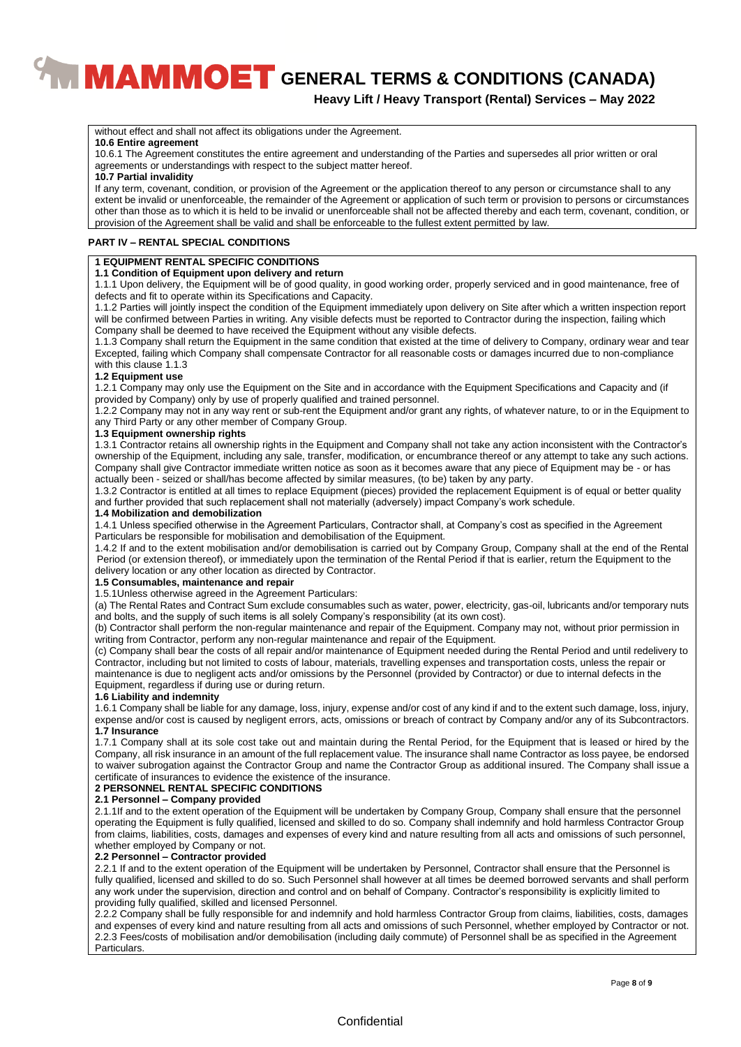## **Heavy Lift / Heavy Transport (Rental) Services – May 2022**

without effect and shall not affect its obligations under the Agreement.

#### **10.6 Entire agreement**

10.6.1 The Agreement constitutes the entire agreement and understanding of the Parties and supersedes all prior written or oral agreements or understandings with respect to the subject matter hereof.

#### **10.7 Partial invalidity**

If any term, covenant, condition, or provision of the Agreement or the application thereof to any person or circumstance shall to any extent be invalid or unenforceable, the remainder of the Agreement or application of such term or provision to persons or circumstances other than those as to which it is held to be invalid or unenforceable shall not be affected thereby and each term, covenant, condition, or provision of the Agreement shall be valid and shall be enforceable to the fullest extent permitted by law.

#### **PART IV – RENTAL SPECIAL CONDITIONS**

#### **1 EQUIPMENT RENTAL SPECIFIC CONDITIONS**

## **1.1 Condition of Equipment upon delivery and return**

1.1.1 Upon delivery, the Equipment will be of good quality, in good working order, properly serviced and in good maintenance, free of defects and fit to operate within its Specifications and Capacity.

1.1.2 Parties will jointly inspect the condition of the Equipment immediately upon delivery on Site after which a written inspection report will be confirmed between Parties in writing. Any visible defects must be reported to Contractor during the inspection, failing which Company shall be deemed to have received the Equipment without any visible defects.

1.1.3 Company shall return the Equipment in the same condition that existed at the time of delivery to Company, ordinary wear and tear Excepted, failing which Company shall compensate Contractor for all reasonable costs or damages incurred due to non-compliance with this clause 1.1.3

#### **1.2 Equipment use**

1.2.1 Company may only use the Equipment on the Site and in accordance with the Equipment Specifications and Capacity and (if provided by Company) only by use of properly qualified and trained personnel.

1.2.2 Company may not in any way rent or sub-rent the Equipment and/or grant any rights, of whatever nature, to or in the Equipment to any Third Party or any other member of Company Group.

#### **1.3 Equipment ownership rights**

1.3.1 Contractor retains all ownership rights in the Equipment and Company shall not take any action inconsistent with the Contractor's ownership of the Equipment, including any sale, transfer, modification, or encumbrance thereof or any attempt to take any such actions. Company shall give Contractor immediate written notice as soon as it becomes aware that any piece of Equipment may be - or has actually been - seized or shall/has become affected by similar measures, (to be) taken by any party.

1.3.2 Contractor is entitled at all times to replace Equipment (pieces) provided the replacement Equipment is of equal or better quality and further provided that such replacement shall not materially (adversely) impact Company's work schedule.

#### **1.4 Mobilization and demobilization**

1.4.1 Unless specified otherwise in the Agreement Particulars, Contractor shall, at Company's cost as specified in the Agreement Particulars be responsible for mobilisation and demobilisation of the Equipment.

1.4.2 If and to the extent mobilisation and/or demobilisation is carried out by Company Group, Company shall at the end of the Rental Period (or extension thereof), or immediately upon the termination of the Rental Period if that is earlier, return the Equipment to the delivery location or any other location as directed by Contractor.

#### **1.5 Consumables, maintenance and repair**

#### 1.5.1Unless otherwise agreed in the Agreement Particulars:

(a) The Rental Rates and Contract Sum exclude consumables such as water, power, electricity, gas-oil, lubricants and/or temporary nuts and bolts, and the supply of such items is all solely Company's responsibility (at its own cost).

(b) Contractor shall perform the non-regular maintenance and repair of the Equipment. Company may not, without prior permission in writing from Contractor, perform any non-regular maintenance and repair of the Equipment.

(c) Company shall bear the costs of all repair and/or maintenance of Equipment needed during the Rental Period and until redelivery to Contractor, including but not limited to costs of labour, materials, travelling expenses and transportation costs, unless the repair or maintenance is due to negligent acts and/or omissions by the Personnel (provided by Contractor) or due to internal defects in the Equipment, regardless if during use or during return.

#### **1.6 Liability and indemnity**

1.6.1 Company shall be liable for any damage, loss, injury, expense and/or cost of any kind if and to the extent such damage, loss, injury, expense and/or cost is caused by negligent errors, acts, omissions or breach of contract by Company and/or any of its Subcontractors. **1.7 Insurance**

1.7.1 Company shall at its sole cost take out and maintain during the Rental Period, for the Equipment that is leased or hired by the Company, all risk insurance in an amount of the full replacement value. The insurance shall name Contractor as loss payee, be endorsed to waiver subrogation against the Contractor Group and name the Contractor Group as additional insured. The Company shall issue a certificate of insurances to evidence the existence of the insurance.

#### **2 PERSONNEL RENTAL SPECIFIC CONDITIONS**

#### **2.1 Personnel – Company provided**

2.1.1If and to the extent operation of the Equipment will be undertaken by Company Group, Company shall ensure that the personnel operating the Equipment is fully qualified, licensed and skilled to do so. Company shall indemnify and hold harmless Contractor Group from claims, liabilities, costs, damages and expenses of every kind and nature resulting from all acts and omissions of such personnel, whether employed by Company or not.

#### **2.2 Personnel – Contractor provided**

2.2.1 If and to the extent operation of the Equipment will be undertaken by Personnel, Contractor shall ensure that the Personnel is fully qualified, licensed and skilled to do so. Such Personnel shall however at all times be deemed borrowed servants and shall perform any work under the supervision, direction and control and on behalf of Company. Contractor's responsibility is explicitly limited to providing fully qualified, skilled and licensed Personnel.

2.2.2 Company shall be fully responsible for and indemnify and hold harmless Contractor Group from claims, liabilities, costs, damages and expenses of every kind and nature resulting from all acts and omissions of such Personnel, whether employed by Contractor or not. 2.2.3 Fees/costs of mobilisation and/or demobilisation (including daily commute) of Personnel shall be as specified in the Agreement Particulars.